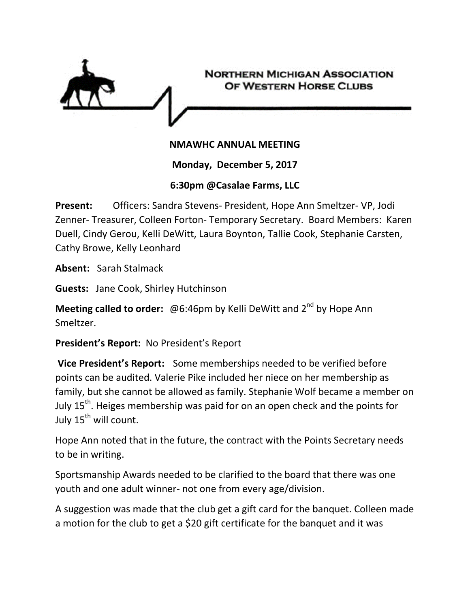

# **NMAWHC ANNUAL MEETING**

**Monday, December 5, 2017**

# **6:30pm @Casalae Farms, LLC**

**Present:** Officers: Sandra Stevens- President, Hope Ann Smeltzer- VP, Jodi Zenner- Treasurer, Colleen Forton- Temporary Secretary. Board Members: Karen Duell, Cindy Gerou, Kelli DeWitt, Laura Boynton, Tallie Cook, Stephanie Carsten, Cathy Browe, Kelly Leonhard

**Absent:** Sarah Stalmack

**Guests:** Jane Cook, Shirley Hutchinson

**Meeting called to order:** @6:46pm by Kelli DeWitt and 2<sup>nd</sup> by Hope Ann Smeltzer.

**President's Report:** No President's Report

**Vice President's Report:** Some memberships needed to be verified before points can be audited. Valerie Pike included her niece on her membership as family, but she cannot be allowed as family. Stephanie Wolf became a member on July 15<sup>th</sup>. Heiges membership was paid for on an open check and the points for July 15<sup>th</sup> will count.

Hope Ann noted that in the future, the contract with the Points Secretary needs to be in writing.

Sportsmanship Awards needed to be clarified to the board that there was one youth and one adult winner- not one from every age/division.

A suggestion was made that the club get a gift card for the banquet. Colleen made a motion for the club to get a \$20 gift certificate for the banquet and it was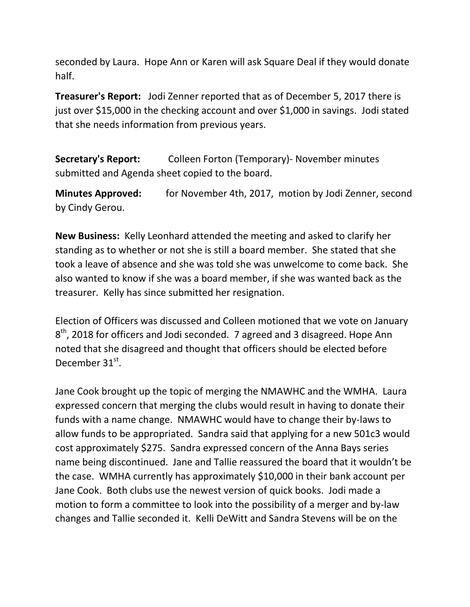seconded by Laura. Hope Ann or Karen will ask Square Deal if they would donate half.

**Treasurer's Report:** Jodi Zenner reported that as of December 5, 2017 there is just over \$15,000 in the checking account and over \$1,000 in savings. Jodi stated that she needs information from previous years.

**Secretary's Report:** Colleen Forton (Temporary)- November minutes submitted and Agenda sheet copied to the board.

**Minutes Approved:** for November 4th, 2017, motion by Jodi Zenner, second by Cindy Gerou.

**New Business:** Kelly Leonhard attended the meeting and asked to clarify her standing as to whether or not she is still a board member. She stated that she took a leave of absence and she was told she was unwelcome to come back. She also wanted to know if she was a board member, if she was wanted back as the treasurer. Kelly has since submitted her resignation.

Election of Officers was discussed and Colleen motioned that we vote on January  $8<sup>th</sup>$ , 2018 for officers and Jodi seconded. 7 agreed and 3 disagreed. Hope Ann noted that she disagreed and thought that officers should be elected before December 31<sup>st</sup>.

Jane Cook brought up the topic of merging the NMAWHC and the WMHA. Laura expressed concern that merging the clubs would result in having to donate their funds with a name change. NMAWHC would have to change their by-laws to allow funds to be appropriated. Sandra said that applying for a new 501c3 would cost approximately \$275. Sandra expressed concern of the Anna Bays series name being discontinued. Jane and Tallie reassured the board that it wouldn't be the case. WMHA currently has approximately \$10,000 in their bank account per Jane Cook. Both clubs use the newest version of quick books. Jodi made a motion to form a committee to look into the possibility of a merger and by-law changes and Tallie seconded it. Kelli DeWitt and Sandra Stevens will be on the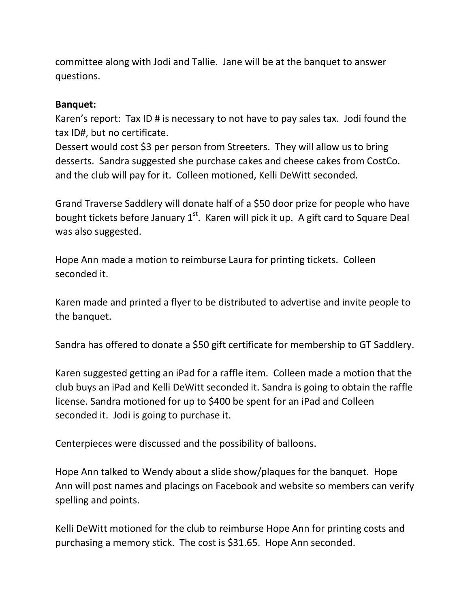committee along with Jodi and Tallie. Jane will be at the banquet to answer questions.

# **Banquet:**

Karen's report: Tax ID # is necessary to not have to pay sales tax. Jodi found the tax ID#, but no certificate.

Dessert would cost \$3 per person from Streeters. They will allow us to bring desserts. Sandra suggested she purchase cakes and cheese cakes from CostCo. and the club will pay for it. Colleen motioned, Kelli DeWitt seconded.

Grand Traverse Saddlery will donate half of a \$50 door prize for people who have bought tickets before January  $1<sup>st</sup>$ . Karen will pick it up. A gift card to Square Deal was also suggested.

Hope Ann made a motion to reimburse Laura for printing tickets. Colleen seconded it.

Karen made and printed a flyer to be distributed to advertise and invite people to the banquet.

Sandra has offered to donate a \$50 gift certificate for membership to GT Saddlery.

Karen suggested getting an iPad for a raffle item. Colleen made a motion that the club buys an iPad and Kelli DeWitt seconded it. Sandra is going to obtain the raffle license. Sandra motioned for up to \$400 be spent for an iPad and Colleen seconded it. Jodi is going to purchase it.

Centerpieces were discussed and the possibility of balloons.

Hope Ann talked to Wendy about a slide show/plaques for the banquet. Hope Ann will post names and placings on Facebook and website so members can verify spelling and points.

Kelli DeWitt motioned for the club to reimburse Hope Ann for printing costs and purchasing a memory stick. The cost is \$31.65. Hope Ann seconded.